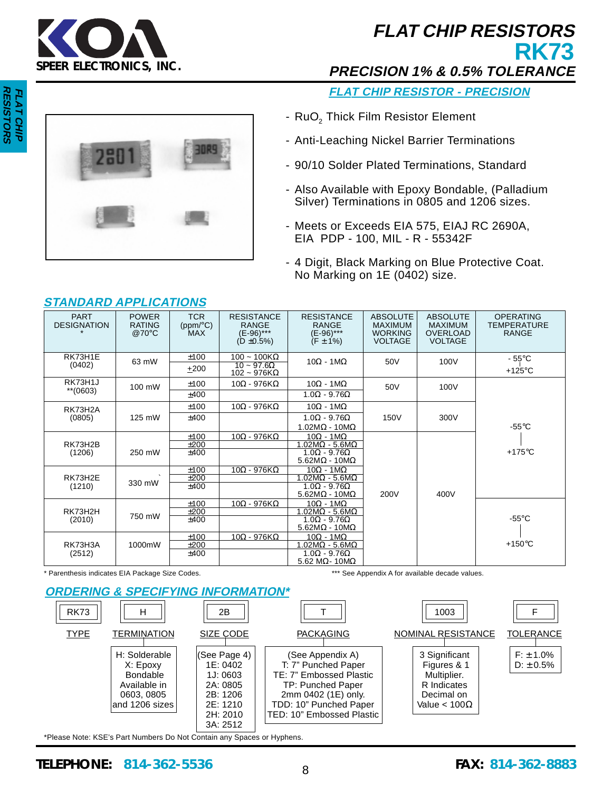

# **FLAT CHIP RESISTORS RK73**

**PRECISION 1% & 0.5% TOLERANCE**

**FLAT CHIP RESISTOR - PRECISION**

- RuO<sub>2</sub> Thick Film Resistor Element
- Anti-Leaching Nickel Barrier Terminations
- 90/10 Solder Plated Terminations, Standard
- Also Available with Epoxy Bondable, (Palladium Silver) Terminations in 0805 and 1206 sizes.
- Meets or Exceeds EIA 575, EIAJ RC 2690A, EIA PDP - 100, MIL - R - 55342F
- 4 Digit, Black Marking on Blue Protective Coat. No Marking on 1E (0402) size.

| <b>PART</b><br><b>DESIGNATION</b> | <b>POWER</b><br><b>RATING</b><br>@70 $\degree$ C | <b>TCR</b><br>(ppm/°C)<br>MAX | <b>RESISTANCE</b><br><b>RANGE</b><br>(E-96)***<br>$(D \pm 0.5\%)$ | <b>RESISTANCE</b><br><b>RANGE</b><br>(E-96)***<br>$(F \pm 1\%)$ | <b>ABSOLUTE</b><br><b>MAXIMUM</b><br><b>WORKING</b><br><b>VOLTAGE</b> | <b>ABSOLUTE</b><br><b>MAXIMUM</b><br><b>OVERLOAD</b><br><b>VOLTAGE</b> | <b>OPERATING</b><br><b>TEMPERATURE</b><br><b>RANGE</b> |
|-----------------------------------|--------------------------------------------------|-------------------------------|-------------------------------------------------------------------|-----------------------------------------------------------------|-----------------------------------------------------------------------|------------------------------------------------------------------------|--------------------------------------------------------|
| RK73H1E                           | 63 mW                                            | ±100                          | $100 - 100K\Omega$                                                | $10\Omega - 1M\Omega$                                           | 50V                                                                   | 100V                                                                   | - 55°C                                                 |
| (0402)                            |                                                  | $+200$                        | $10 \sim 97.6\Omega$<br>$102 - 976K\Omega$                        |                                                                 |                                                                       |                                                                        | +125 $\mathrm{^{\circ}C}$                              |
| RK73H1J                           | 100 mW                                           | ±100                          | $10\Omega$ - 976Κ $\Omega$                                        | $10\Omega - 1M\Omega$                                           | 50V                                                                   | 100V                                                                   |                                                        |
| $**$ (0603)                       |                                                  | ±400                          |                                                                   | $1.0\Omega - 9.76\Omega$                                        |                                                                       |                                                                        |                                                        |
| RK73H2A                           |                                                  | ±100                          | $10\Omega - 976$ K $\Omega$                                       | $10\Omega - 1M\Omega$                                           |                                                                       |                                                                        |                                                        |
| (0805)                            | 125 mW                                           | $+400$                        |                                                                   | $1.0\Omega - 9.76\Omega$                                        | 150V                                                                  | 300V                                                                   |                                                        |
|                                   |                                                  |                               |                                                                   | $1.02MΩ - 10MΩ$                                                 |                                                                       |                                                                        | $-55^{\circ}$ C                                        |
|                                   |                                                  | ±100                          | $10\Omega$ - 976Κ $\Omega$                                        | $10\Omega - 1M\Omega$                                           |                                                                       |                                                                        |                                                        |
| RK73H2B                           |                                                  | ±200                          |                                                                   | $1.02M\Omega - 5.6M\Omega$                                      |                                                                       |                                                                        |                                                        |
| (1206)                            | 250 mW                                           | $+400$                        |                                                                   | $1.0\Omega - 9.76\Omega$<br>$5.62M\Omega - 10M\Omega$           |                                                                       |                                                                        | $+175^{\circ}$ C                                       |
|                                   |                                                  | ±100                          | $10\Omega - 976K\Omega$                                           | $10\Omega - 1M\Omega$                                           |                                                                       |                                                                        |                                                        |
| RK73H2E                           | 330 mW                                           | ±200                          |                                                                   | $1.02M\Omega - 5.6M\Omega$                                      |                                                                       |                                                                        |                                                        |
| (1210)                            |                                                  | ±400                          |                                                                   | $1.0\Omega - 9.76\Omega$<br>$5.62M\Omega - 10M\Omega$           | 200V                                                                  | 400V                                                                   |                                                        |
|                                   |                                                  | ±100                          | $10\Omega$ - 976KΩ                                                | $10\Omega - 1M\Omega$                                           |                                                                       |                                                                        |                                                        |
| RK73H2H                           |                                                  | ±200                          |                                                                   | $1.02M\Omega - 5.6M\Omega$                                      |                                                                       |                                                                        |                                                        |
| (2010)                            | 750 mW                                           | ±400                          |                                                                   | $1.0\Omega - 9.76\Omega$                                        |                                                                       |                                                                        | -55 $\mathrm{^{\circ}C}$                               |
|                                   |                                                  |                               |                                                                   | $5.62M\Omega - 10M\Omega$                                       |                                                                       |                                                                        |                                                        |
|                                   |                                                  | ±100                          | $10\Omega - 976$ K $\Omega$                                       | $10\Omega - 1 \text{M}\Omega$                                   |                                                                       |                                                                        |                                                        |
| RK73H3A                           | 1000mW                                           | ±200                          |                                                                   | $1.02M\Omega - 5.6M\Omega$                                      |                                                                       |                                                                        | $+150^{\circ}$ C                                       |
| (2512)                            |                                                  | ±400                          |                                                                   | $1.0\Omega - 9.76\Omega$                                        |                                                                       |                                                                        |                                                        |
|                                   |                                                  |                               |                                                                   | 5.62 M $\Omega$ -10M $\Omega$                                   |                                                                       |                                                                        |                                                        |

## **STANDARD APPLICATIONS**

\* Parenthesis indicates EIA Package Size Codes. \*\*\* \*\*\* See Appendix A for available decade values.



\*Please Note: KSE's Part Numbers Do Not Contain any Spaces or Hyphens.

## **TELEPHONE: 814-362-5536 FAX: 814-362-8883** <sup>8</sup>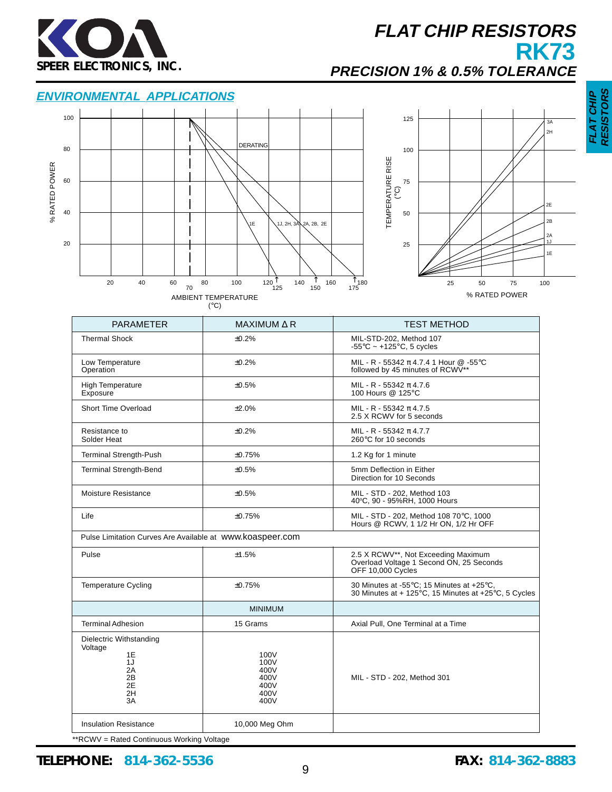

# **FLAT CHIP RESISTORS RK73**

## **PRECISION 1% & 0.5% TOLERANCE**

### **ENVIRONMENTAL APPLICATIONS**



| <b>PARAMETER</b>                                                             | MAXIMUM $\triangle$ R                                | <b>TEST METHOD</b>                                                                                   |
|------------------------------------------------------------------------------|------------------------------------------------------|------------------------------------------------------------------------------------------------------|
| <b>Thermal Shock</b>                                                         | $+0.2%$                                              | MIL-STD-202, Method 107<br>$-55^{\circ}$ C ~ +125 $^{\circ}$ C, 5 cycles                             |
| Low Temperature<br>Operation                                                 | ±0.2%                                                | MIL - R - 55342 π 4.7.4 1 Hour @ -55°C<br>followed by 45 minutes of RCWV**                           |
| <b>High Temperature</b><br>Exposure                                          | ±0.5%                                                | MIL - R - 55342 $\pi$ 4.7.6<br>100 Hours @ 125°C                                                     |
| Short Time Overload                                                          | ±2.0%                                                | MIL - R - 55342 $\pi$ 4.7.5<br>2.5 X RCWV for 5 seconds                                              |
| Resistance to<br>Solder Heat                                                 | ±0.2%                                                | MIL - R - 55342 $\pi$ 4.7.7<br>260°C for 10 seconds                                                  |
| <b>Terminal Strength-Push</b>                                                | ±0.75%                                               | 1.2 Kg for 1 minute                                                                                  |
| <b>Terminal Strength-Bend</b>                                                | ±0.5%                                                | 5mm Deflection in Either<br>Direction for 10 Seconds                                                 |
| <b>Moisture Resistance</b>                                                   | ±0.5%                                                | MIL - STD - 202, Method 103<br>40°C, 90 - 95%RH, 1000 Hours                                          |
| Life                                                                         | ±0.75%                                               | MIL - STD - 202, Method 108 70°C, 1000<br>Hours @ RCWV, 1 1/2 Hr ON, 1/2 Hr OFF                      |
| Pulse Limitation Curves Are Available at WWW.koaspeer.com                    |                                                      |                                                                                                      |
| Pulse                                                                        | ±1.5%                                                | 2.5 X RCWV**, Not Exceeding Maximum<br>Overload Voltage 1 Second ON, 25 Seconds<br>OFF 10,000 Cycles |
| <b>Temperature Cycling</b>                                                   | ±0.75%                                               | 30 Minutes at -55°C; 15 Minutes at +25°C,<br>30 Minutes at + 125°C, 15 Minutes at +25°C, 5 Cycles    |
|                                                                              | <b>MINIMUM</b>                                       |                                                                                                      |
| <b>Terminal Adhesion</b>                                                     | 15 Grams                                             | Axial Pull, One Terminal at a Time                                                                   |
| Dielectric Withstanding<br>Voltage<br>1E<br>1J<br>2A<br>2Β<br>2E<br>2H<br>3A | 100V<br>100V<br>400V<br>400V<br>400V<br>400V<br>400V | MIL - STD - 202, Method 301                                                                          |
| <b>Insulation Resistance</b>                                                 | 10,000 Meg Ohm                                       |                                                                                                      |

\*\*RCWV = Rated Continuous Working Voltage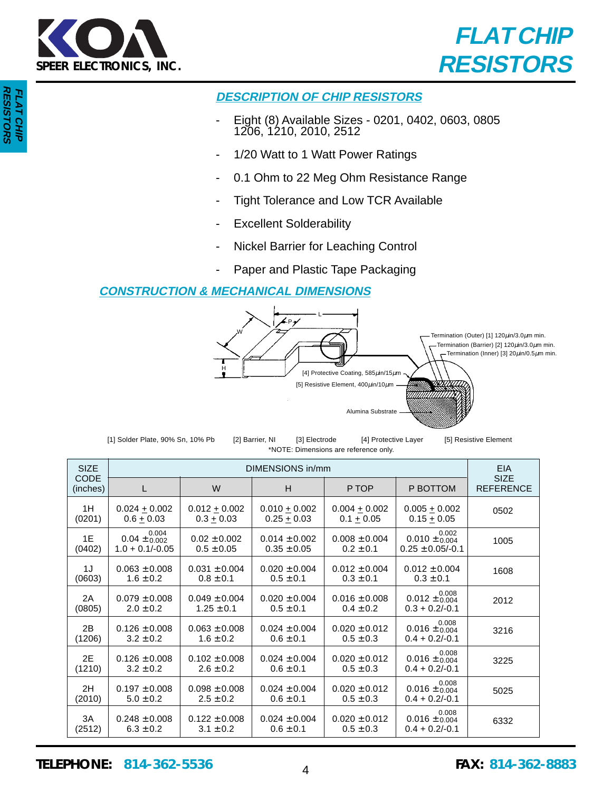



## **DESCRIPTION OF CHIP RESISTORS**

- Eight (8) Available Sizes 0201, 0402, 0603, 0805 1206, 1210, 2010, 2512
- 1/20 Watt to 1 Watt Power Ratings
- 0.1 Ohm to 22 Meg Ohm Resistance Range
- Tight Tolerance and Low TCR Available
- **Excellent Solderability**
- Nickel Barrier for Leaching Control
- Paper and Plastic Tape Packaging

### **CONSTRUCTION & MECHANICAL DIMENSIONS**



| [1] Solder Plate, 90% Sn, 10% Pb | [2] Barrier, NI | [3] Electrode                         | [4] Protective Layer | [5] Resistive Element |
|----------------------------------|-----------------|---------------------------------------|----------------------|-----------------------|
|                                  |                 | *NOTE: Dimensions are reference only. |                      |                       |

| <b>SIZE</b>             |                                                | DIMENSIONS in/mm                   |                                      |                                    |                                                               |                                 |  |  |
|-------------------------|------------------------------------------------|------------------------------------|--------------------------------------|------------------------------------|---------------------------------------------------------------|---------------------------------|--|--|
| <b>CODE</b><br>(inches) | L                                              | W                                  | H                                    | P TOP                              | P BOTTOM                                                      | <b>SIZE</b><br><b>REFERENCE</b> |  |  |
| 1H                      | $0.024 \pm 0.002$                              | $0.012 \pm 0.002$                  | $0.010 + 0.002$                      | $0.004 + 0.002$                    | $0.005 + 0.002$                                               | 0502                            |  |  |
| (0201)                  | $0.6 + 0.03$                                   | $0.3 + 0.03$                       | $0.25 + 0.03$                        | $0.1 + 0.05$                       | $0.15 + 0.05$                                                 |                                 |  |  |
| 1E<br>(0402)            | 0.004<br>$0.04 \pm 0.002$<br>$1.0 + 0.1/-0.05$ | $0.02 \pm 0.002$<br>$0.5 \pm 0.05$ | $0.014 \pm 0.002$<br>$0.35 \pm 0.05$ | $0.008 \pm 0.004$<br>$0.2 \pm 0.1$ | $0.010 \pm \substack{0.002 \\ 0.004}$<br>$0.25 \pm 0.05/-0.1$ | 1005                            |  |  |
| 1J                      | $0.063 \pm 0.008$                              | $0.031 \pm 0.004$                  | $0.020 \pm 0.004$                    | $0.012 \pm 0.004$                  | $0.012 \pm 0.004$                                             | 1608                            |  |  |
| (0603)                  | $1.6 \pm 0.2$                                  | $0.8 \pm 0.1$                      | $0.5 \pm 0.1$                        | $0.3 \pm 0.1$                      | $0.3 \pm 0.1$                                                 |                                 |  |  |
| 2A                      | $0.079 \pm 0.008$                              | $0.049 \pm 0.004$                  | $0.020 \pm 0.004$                    | $0.016 \pm 0.008$                  | $0.012 \pm \substack{0.008 \\ 0.004}$                         | 2012                            |  |  |
| (0805)                  | $2.0 \pm 0.2$                                  | $1.25 \pm 0.1$                     | $0.5 \pm 0.1$                        | $0.4 \pm 0.2$                      | $0.3 + 0.2/-0.1$                                              |                                 |  |  |
| 2B                      | $0.126 \pm 0.008$                              | $0.063 \pm 0.008$                  | $0.024 \pm 0.004$                    | $0.020 \pm 0.012$                  | $0.016 \pm \substack{0.008 \\ 0.004}$                         | 3216                            |  |  |
| (1206)                  | $3.2 \pm 0.2$                                  | $1.6 \pm 0.2$                      | $0.6 \pm 0.1$                        | $0.5 \pm 0.3$                      | $0.4 + 0.2/-0.1$                                              |                                 |  |  |
| 2E                      | $0.126 \pm 0.008$                              | $0.102 \pm 0.008$                  | $0.024 \pm 0.004$                    | $0.020 \pm 0.012$                  | $0.016 \pm \substack{0.008 \\ 0.004}$                         | 3225                            |  |  |
| (1210)                  | $3.2 \pm 0.2$                                  | $2.6 \pm 0.2$                      | $0.6 \pm 0.1$                        | $0.5 \pm 0.3$                      | $0.4 + 0.2/-0.1$                                              |                                 |  |  |
| 2H                      | $0.197 \pm 0.008$                              | $0.098 \pm 0.008$                  | $0.024 \pm 0.004$                    | $0.020 \pm 0.012$                  | $0.016 \pm \substack{0.008 \\ 0.004}$                         | 5025                            |  |  |
| (2010)                  | $5.0 \pm 0.2$                                  | $2.5 \pm 0.2$                      | $0.6 \pm 0.1$                        | $0.5 \pm 0.3$                      | $0.4 + 0.2/-0.1$                                              |                                 |  |  |
| 3A                      | $0.248 \pm 0.008$                              | $0.122 \pm 0.008$                  | $0.024 \pm 0.004$                    | $0.020 \pm 0.012$                  | $0.016 \pm \substack{0.008 \\ 0.004}$                         | 6332                            |  |  |
| (2512)                  | $6.3 \pm 0.2$                                  | $3.1 \pm 0.2$                      | $0.6 \pm 0.1$                        | $0.5 \pm 0.3$                      | $0.4 + 0.2/-0.1$                                              |                                 |  |  |

**TELEPHONE: 814-362-5536 FAX: 814-362-8883** <sup>4</sup>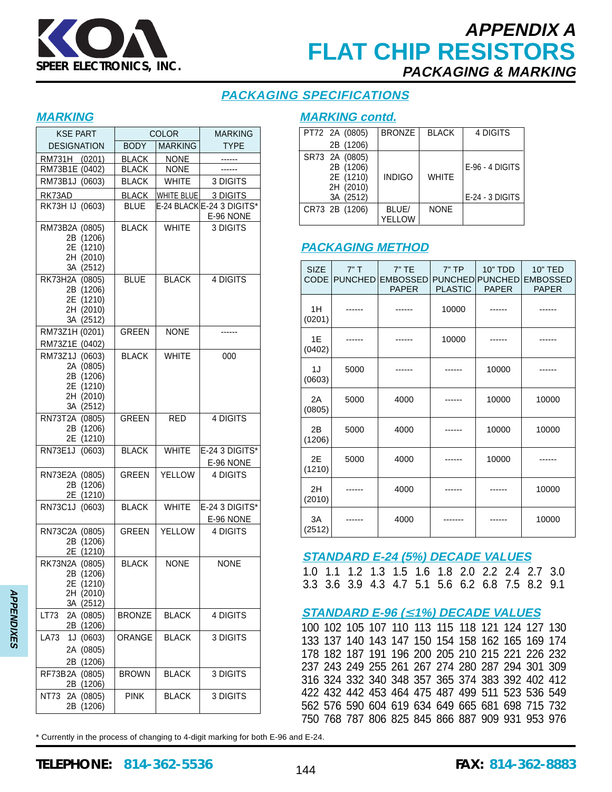

# **APPENDIX A FLAT CHIP RESISTORS PACKAGING & MARKING**

## **PACKAGING SPECIFICATIONS**

#### **MARKING**

| <b>KSE PART</b>                                                                 |               | <b>COLOR</b>   | <b>MARKING</b>                        |  |  |
|---------------------------------------------------------------------------------|---------------|----------------|---------------------------------------|--|--|
| <b>DESIGNATION</b>                                                              | <b>BODY</b>   | <b>MARKING</b> | <b>TYPE</b>                           |  |  |
| RM731H (0201)                                                                   | <b>BLACK</b>  | <b>NONE</b>    |                                       |  |  |
| RM73B1E (0402)                                                                  | <b>BLACK</b>  | <b>NONE</b>    |                                       |  |  |
| RM73B1J (0603)                                                                  | <b>BLACK</b>  | <b>WHITE</b>   | 3 DIGITS                              |  |  |
| RK73AD                                                                          | <b>BLACK</b>  | WHITE BLUE     | 3 DIGITS                              |  |  |
| RK73H IJ (0603)                                                                 | <b>BLUE</b>   |                | E-24 BLACKE-24 3 DIGITS*<br>E-96 NONE |  |  |
| RM73B2A (0805)<br>2B (1206)<br>2E (1210)<br>2H (2010)<br>3A (2512)              | <b>BLACK</b>  | <b>WHITE</b>   | 3 DIGITS                              |  |  |
| RK73H2A (0805)<br>2B (1206)<br>2E (1210)<br>2H (2010)<br>3A (2512)              | <b>BLUE</b>   | <b>BLACK</b>   | <b>4 DIGITS</b>                       |  |  |
| RM73Z1H (0201)<br>RM73Z1E (0402)                                                | <b>GREEN</b>  | <b>NONE</b>    |                                       |  |  |
| RM73Z1J (0603)<br>2A (0805)<br>2B (1206)<br>2E (1210)<br>2H (2010)<br>3A (2512) | <b>BLACK</b>  | <b>WHITE</b>   | 000                                   |  |  |
| RN73T2A (0805)<br>2B (1206)<br>2E<br>(1210)                                     | <b>GREEN</b>  | <b>RED</b>     | 4 DIGITS                              |  |  |
| RN73E1J (0603)                                                                  | <b>BLACK</b>  | <b>WHITE</b>   | E-24 3 DIGITS*<br>E-96 NONE           |  |  |
| RN73E2A (0805)<br>2B (1206)<br>2E (1210)                                        | <b>GREEN</b>  | <b>YELLOW</b>  | 4 DIGITS                              |  |  |
| RN73C1J (0603)                                                                  | <b>BLACK</b>  | <b>WHITE</b>   | $E-243$ DIGITS*<br>E-96 NONE          |  |  |
| RN73C2A (0805)<br>2B (1206)<br>2E (1210)                                        | GREEN         | <b>YELLOW</b>  | 4 DIGITS                              |  |  |
| RK73N2A (0805)<br>2B (1206)<br>2E (1210)<br>2H (2010)<br>3A (2512)              | <b>BLACK</b>  | <b>NONE</b>    | <b>NONE</b>                           |  |  |
| LT73<br>2A (0805)<br>2B (1206)                                                  | <b>BRONZE</b> | <b>BLACK</b>   | 4 DIGITS                              |  |  |
| <b>LA73</b><br>1J (0603)<br>2A (0805)<br>2B (1206)                              | <b>ORANGE</b> | <b>BLACK</b>   | 3 DIGITS                              |  |  |
| RF73B2A (0805)<br>2B (1206)                                                     | <b>BROWN</b>  | <b>BLACK</b>   | 3 DIGITS                              |  |  |
| NT73 2A (0805)<br>2B (1206)                                                     | <b>PINK</b>   | <b>BLACK</b>   | 3 DIGITS                              |  |  |

### **MARKING contd.**

| PT72 2A (0805)                           | <b>BRONZE</b>   | <b>BLACK</b> | 4 DIGITS          |
|------------------------------------------|-----------------|--------------|-------------------|
| 2B (1206)                                |                 |              |                   |
| SR73 2A (0805)<br>2B (1206)<br>2E (1210) | <b>INDIGO</b>   | <b>WHITE</b> | $E-96 - 4$ DIGITS |
| 2H (2010)<br>3A (2512)                   |                 |              | E-24 - 3 DIGITS   |
| CR73 2B (1206)                           | BLUE/<br>YELLOW | <b>NONE</b>  |                   |

## **PACKAGING METHOD**

| <b>SIZE</b><br><b>CODE</b> | 7"T<br><b>PUNCHED</b> | $7"$ TE<br><b>EMBOSSED</b><br><b>PAPER</b> | $7"$ TP<br><b>PLASTIC</b> | <b>10" TDD</b><br><b>PUNCHED PUNCHED</b><br><b>PAPER</b> | <b>10" TED</b><br><b>EMBOSSED</b><br><b>PAPER</b> |
|----------------------------|-----------------------|--------------------------------------------|---------------------------|----------------------------------------------------------|---------------------------------------------------|
| 1H<br>(0201)               |                       |                                            | 10000                     |                                                          |                                                   |
| 1E<br>(0402)               |                       |                                            | 10000                     |                                                          |                                                   |
| 1J<br>(0603)               | 5000                  |                                            |                           | 10000                                                    |                                                   |
| 2A<br>(0805)               | 5000                  | 4000                                       |                           | 10000                                                    | 10000                                             |
| 2B<br>(1206)               | 5000                  | 4000                                       |                           | 10000                                                    | 10000                                             |
| 2E<br>(1210)               | 5000                  | 4000                                       |                           | 10000                                                    |                                                   |
| 2H<br>(2010)               |                       | 4000                                       |                           |                                                          | 10000                                             |
| 3A<br>(2512)               |                       | 4000                                       |                           |                                                          | 10000                                             |

### **STANDARD E-24 (5%) DECADE VALUES**

1.0 1.1 1.2 1.3 1.5 1.6 1.8 2.0 2.2 2.4 2.7 3.0 3.3 3.6 3.9 4.3 4.7 5.1 5.6 6.2 6.8 7.5 8.2 9.1

### **STANDARD E-96 (**≤ **1%) DECADE VALUES**

100 102 105 107 110 113 115 118 121 124 127 130 133 137 140 143 147 150 154 158 162 165 169 174 178 182 187 191 196 200 205 210 215 221 226 232 237 243 249 255 261 267 274 280 287 294 301 309 316 324 332 340 348 357 365 374 383 392 402 412 422 432 442 453 464 475 487 499 511 523 536 549 562 576 590 604 619 634 649 665 681 698 715 732 750 768 787 806 825 845 866 887 909 931 953 976

\* Currently in the process of changing to 4-digit marking for both E-96 and E-24.